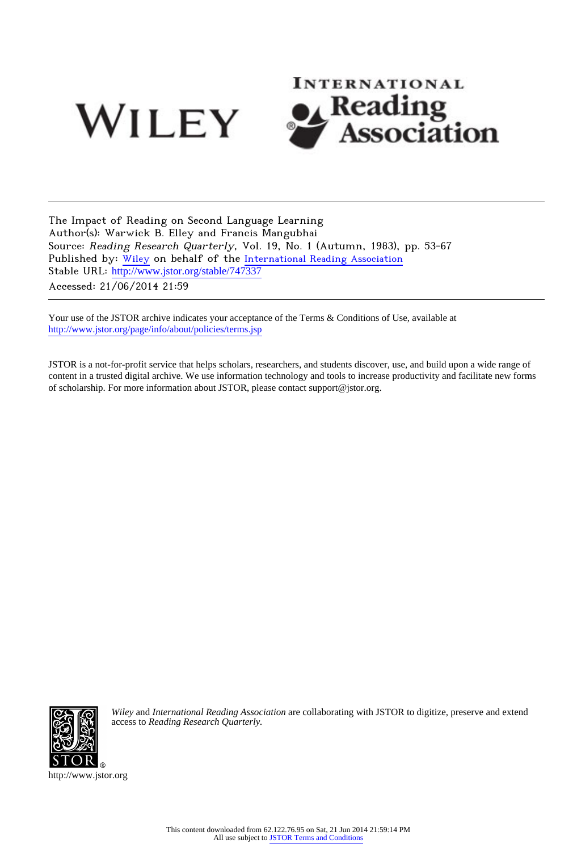

The Impact of Reading on Second Language Learning Author(s): Warwick B. Elley and Francis Mangubhai Source: Reading Research Quarterly, Vol. 19, No. 1 (Autumn, 1983), pp. 53-67 Published by: [Wiley](http://www.jstor.org/action/showPublisher?publisherCode=black) on behalf of the [International Reading Association](http://www.jstor.org/action/showPublisher?publisherCode=ira) Stable URL: http://www.jstor.org/stable/747337 Accessed: 21/06/2014 21:59

Your use of the JSTOR archive indicates your acceptance of the Terms & Conditions of Use, available at <http://www.jstor.org/page/info/about/policies/terms.jsp>

JSTOR is a not-for-profit service that helps scholars, researchers, and students discover, use, and build upon a wide range of content in a trusted digital archive. We use information technology and tools to increase productivity and facilitate new forms of scholarship. For more information about JSTOR, please contact support@jstor.org.



*Wiley* and *International Reading Association* are collaborating with JSTOR to digitize, preserve and extend access to *Reading Research Quarterly.*

http://www.jstor.org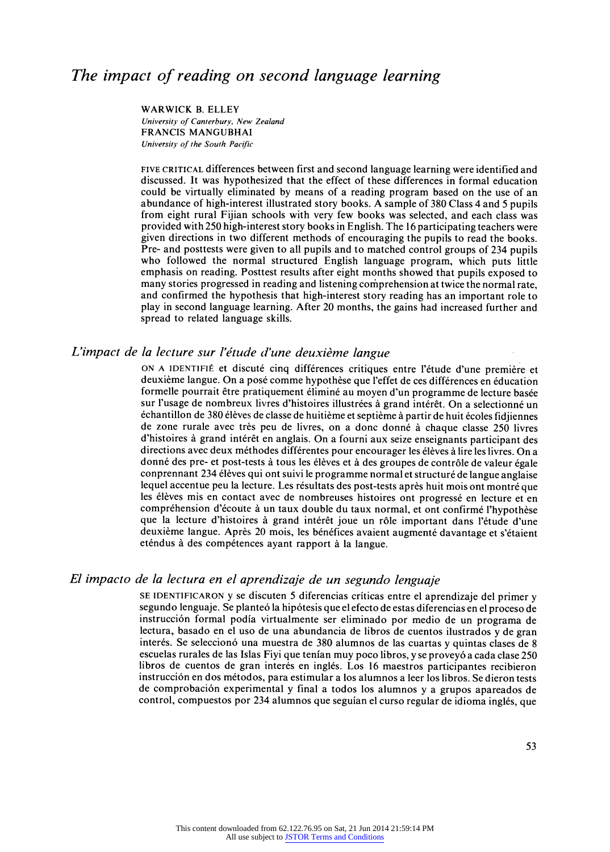# **The impact of reading on second language learning**

**WARWICK B. ELLEY University of Canterbury, New Zealand FRANCIS MANGUBHAI University of the South Pacific** 

**FIVE CRITICAL differences between first and second language learning were identified and discussed. It was hypothesized that the effect of these differences in formal education could be virtually eliminated by means of a reading program based on the use of an abundance of high-interest illustrated story books. A sample of 380 Class 4 and 5 pupils from eight rural Fijian schools with very few books was selected, and each class was provided with 250 high-interest story books in English. The 16 participating teachers were given directions in two different methods of encouraging the pupils to read the books. Pre- and posttests were given to all pupils and to matched control groups of 234 pupils who followed the normal structured English language program, which puts little emphasis on reading. Posttest results after eight months showed that pupils exposed to**  many stories progressed in reading and listening comprehension at twice the normal rate, **and confirmed the hypothesis that high-interest story reading has an important role to play in second language learning. After 20 months, the gains had increased further and spread to related language skills.** 

## L'impact de la lecture sur l'étude d'une deuxième langue

ON A IDENTIFIÉ et discuté cinq différences critiques entre l'étude d'une première et deuxième langue. On a posé comme hypothèse que l'effet de ces différences en éducation formelle pourrait être pratiquement éliminé au moyen d'un programme de lecture basée sur l'usage de nombreux livres d'histoires illustrées à grand intérêt. On a selectionné un échantillon de 380 élèves de classe de huitième et septième à partir de huit écoles fidjiennes **de zone rurale avec tres peu de livres, on a donc donn6 a chaque classe 250 livres**  d'histoires à grand intérêt en anglais. On a fourni aux seize enseignants participant des directions avec deux méthodes différentes pour encourager les élèves à lire les livres. On a **donn6 des pre- et post-tests a tous les l66ves et a des groupes de contr6le de valeur 6gale**  conprennant 234 élèves qui ont suivi le programme normal et structuré de langue anglaise lequel accentue peu la lecture. Les résultats des post-tests après huit mois ont montré que les élèves mis en contact avec de nombreuses histoires ont progressé en lecture et en compréhension d'écoute à un taux double du taux normal, et ont confirmé l'hypothèse que la lecture d'histoires à grand intérêt joue un rôle important dans l'étude d'une deuxième langue. Après 20 mois, les bénéfices avaient augmenté davantage et s'étaient **et6ndus a des comp6tences ayant rapport a la langue.** 

### **El impacto de la lectura en el aprendizaje de un segundo lenguaje**

**SE IDENTIFICARON y se discuten 5 diferencias criticas entre el aprendizaje del primer y segundo lenguaje. Se plante6 la hip6tesis que el efecto de estas diferencias en el proceso de instrucci6n formal podia virtualmente ser eliminado por medio de un programa de lectura, basado en el uso de una abundancia de libros de cuentos ilustrados y de gran inter6s. Se seleccion6 una muestra de 380 alumnos de las cuartas y quintas clases de 8 escuelas rurales de las Islas Fiyi que tenian muy poco libros, y se provey6 a cada clase 250**  libros de cuentos de gran interés en inglés. Los 16 maestros participantes recibieron instrucción en dos métodos, para estimular a los alumnos a leer los libros. Se dieron tests **de comprobaci6n experimental y final a todos los alumnos y a grupos apareados de**  control, compuestos por 234 alumnos que seguían el curso regular de idioma inglés, que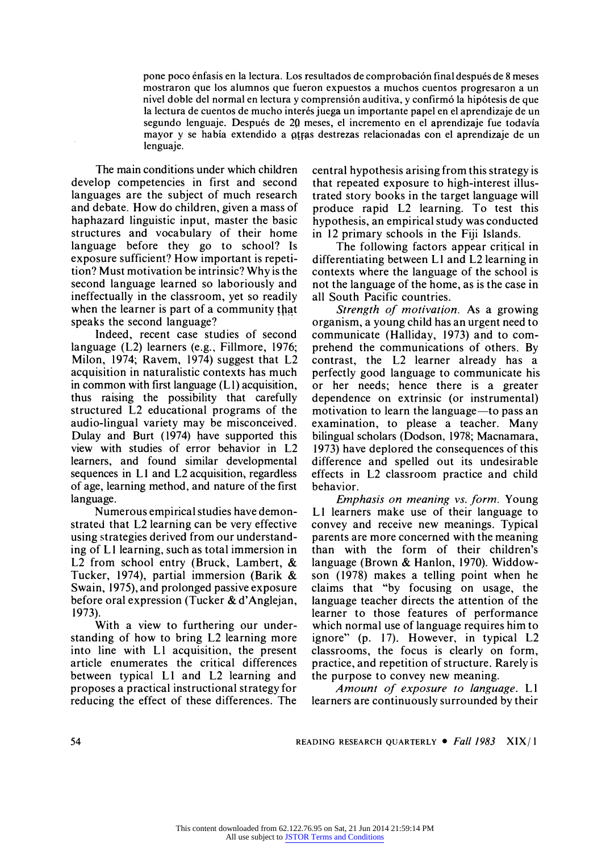pone poco énfasis en la lectura. Los resultados de comprobación final después de 8 meses **mostraron que los alumnos que fueron expuestos a muchos cuentos progresaron a un nivel doble del normal en lectura y comprensi6n auditiva, y confirm6 la hip6tesis de que**  la lectura de cuentos de mucho interés juega un importante papel en el aprendizaje de un segundo lenguaje. Después de 20 meses, el incremento en el aprendizaje fue todavía mayor y se había extendido a otras destrezas relacionadas con el aprendizaje de un **lenguaje.** 

**The main conditions under which children develop competencies in first and second languages are the subject of much research and debate. How do children, given a mass of haphazard linguistic input, master the basic structures and vocabulary of their home language before they go to school? Is exposure sufficient? How important is repetition? Must motivation be intrinsic? Why is the second language learned so laboriously and ineffectually in the classroom, yet so readily**  when the learner is part of a community that **speaks the second language?** 

**Indeed, recent case studies of second language (L2) learners (e.g., Fillmore, 1976; Milon, 1974; Ravem, 1974) suggest that L2 acquisition in naturalistic contexts has much in common with first language (L 1) acquisition, thus raising the possibility that carefully structured L2 educational programs of the audio-lingual variety may be misconceived. Dulay and Burt (1974) have supported this view with studies of error behavior in L2 learners, and found similar developmental**  sequences in L1 and L2 acquisition, regardless **of age, learning method, and nature of the first language.** 

**Numerous empirical studies have demonstrated that L2 learning can be very effective using strategies derived from our understanding of LI learning, such as total immersion in L2 from school entry (Bruck, Lambert, & Tucker, 1974), partial immersion (Barik & Swain, 1975), and prolonged passive exposure before oral expression (Tucker & d'Anglejan, 1973).** 

**With a view to furthering our understanding of how to bring L2 learning more into line with L1 acquisition, the present article enumerates the critical differences between typical L1 and L2 learning and proposes a practical instructional strategy for reducing the effect of these differences. The**  **central hypothesis arising from this strategy is that repeated exposure to high-interest illustrated story books in the target language will produce rapid L2 learning. To test this hypothesis, an empirical study was conducted in 12 primary schools in the Fiji Islands.** 

**The following factors appear critical in differentiating between LI and L2 learning in contexts where the language of the school is not the language of the home, as is the case in all South Pacific countries.** 

**Strength of motivation. As a growing organism, a young child has an urgent need to communicate (Halliday, 1973) and to comprehend the communications of others. By contrast, the L2 learner already has a perfectly good language to communicate his or her needs; hence there is a greater dependence on extrinsic (or instrumental) motivation to learn the language-to pass an examination, to please a teacher. Many bilingual scholars (Dodson, 1978; Macnamara, 1973) have deplored the consequences of this difference and spelled out its undesirable effects in L2 classroom practice and child behavior.** 

**Emphasis on meaning vs. form. Young L I learners make use of their language to convey and receive new meanings. Typical parents are more concerned with the meaning than with the form of their children's language (Brown & Hanlon, 1970). Widdowson (1978) makes a telling point when he claims that "by focusing on usage, the language teacher directs the attention of the learner to those features of performance which normal use of language requires him to ignore" (p. 17). However, in typical L2 classrooms, the focus is clearly on form, practice, and repetition of structure. Rarely is the purpose to convey new meaning.** 

**Amount of exposure to language. Ll learners are continuously surrounded by their**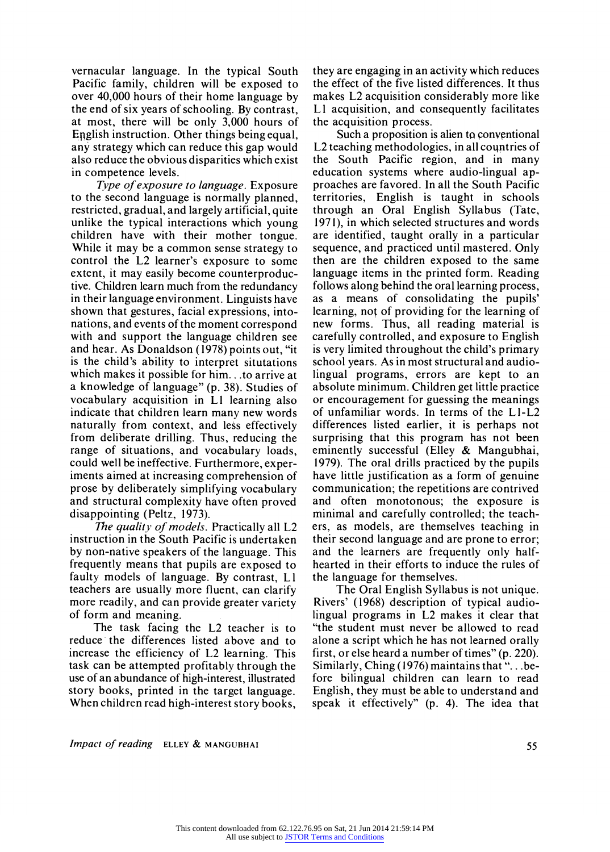**vernacular language. In the typical South Pacific family, children will be exposed to over 40,000 hours of their home language by the end of six years of schooling. By contrast, at most, there will be only 3,000 hours of English instruction. Other things being equal, any strategy which can reduce this gap would also reduce the obvious disparities which exist in competence levels.** 

**Type of exposure to language. Exposure to the second language is normally planned, restricted, gradual, and largely artificial, quite unlike the typical interactions which young children have with their mother tongue. While it may be a common sense strategy to control the L2 learner's exposure to some extent, it may easily become counterproductive. Children learn much from the redundancy in their language environment. Linguists have shown that gestures, facial expressions, intonations, and events of the moment correspond with and support the language children see and hear. As Donaldson (1978) points out, "it is the child's ability to interpret situtations which makes it possible for him...to arrive at a knowledge of language" (p. 38). Studies of**  vocabulary acquisition in L1 learning also **indicate that children learn many new words naturally from context, and less effectively from deliberate drilling. Thus, reducing the range of situations, and vocabulary loads, could well be ineffective. Furthermore, experiments aimed at increasing comprehension of prose by deliberately simplifying vocabulary and structural complexity have often proved disappointing (Peltz, 1973).** 

**The quality, of models. Practically all L2 instruction in the South Pacific is undertaken by non-native speakers of the language. This frequently means that pupils are exposed to**  faulty models of language. By contrast, L1 **teachers are usually more fluent, can clarify more readily, and can provide greater variety of form and meaning.** 

**The task facing the L2 teacher is to reduce the differences listed above and to increase the efficiency of L2 learning. This task can be attempted profitably through the use of an abundance of high-interest, illustrated story books, printed in the target language. When children read high-interest story books,**  **they are engaging in an activity which reduces the effect of the five listed differences. It thus makes L2 acquisition considerably more like L1 acquisition, and consequently facilitates the acquisition process.** 

Such a proposition is alien to conventional **L2 teaching methodologies, in all coyntries of the South Pacific region, and in many education systems where audio-lingual approaches are favored. In all the South Pacific territories, English is taught in schools through an Oral English Syllabus (Tate, 1971), in which selected structures and words are identified, taught orally in a particular sequence, and practiced until mastered. Only then are the children exposed to the same language items in the printed form. Reading follows along behind the oral learning process, as a means of consolidating the pupils' learning, not of providing for the learning of new forms. Thus, all reading material is carefully controlled, and exposure to English is very limited throughout the child's primary school years. As in most structural and audiolingual programs, errors are kept to an absolute minimum. Children get little practice or encouragement for guessing the meanings of unfamiliar words. In terms of the L1-L2 differences listed earlier, it is perhaps not surprising that this program has not been eminently successful (Elley & Mangubhai, 1979). The oral drills practiced by the pupils have little justification as a form of genuine communication; the repetitions are contrived and often monotonous; the exposure is minimal and carefully controlled; the teachers, as models, are themselves teaching in their second language and are prone to error; and the learners are frequently only halfhearted in their efforts to induce the rules of the language for themselves.** 

**The Oral English Syllabus is not unique. Rivers' (1968) description of typical audiolingual programs in L2 makes it clear that "the student must never be allowed to read alone a script which he has not learned orally first, or else heard a number of times" (p. 220). Similarly, Ching (1976) maintains that "...before bilingual children can learn to read English, they must be able to understand and speak it effectively" (p. 4). The idea that**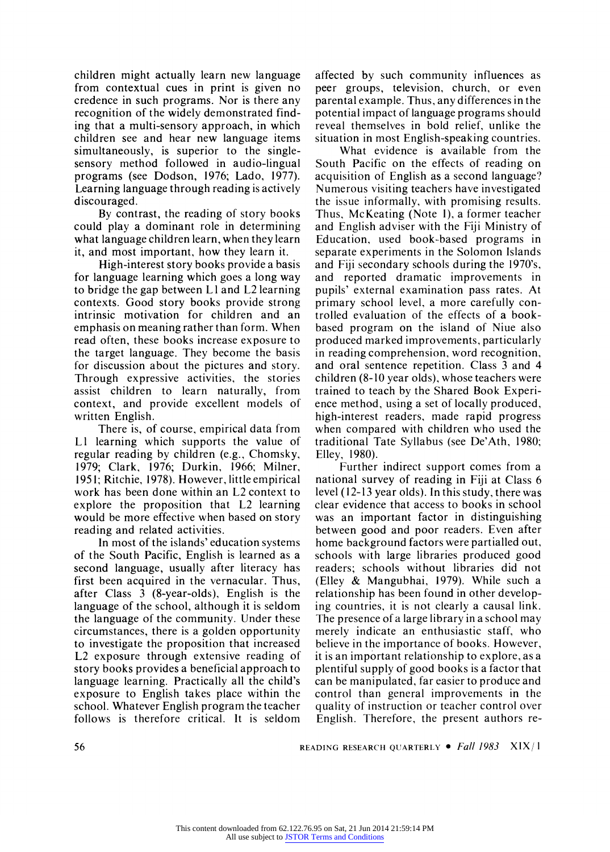**children might actually learn new language from contextual cues in print is given no credence in such programs. Nor is there any recognition of the widely demonstrated finding that a multi-sensory approach, in which children see and hear new language items simultaneously, is superior to the singlesensory method followed in audio-lingual programs (see Dodson, 1976; Lado, 1977). Learning language through reading is actively discouraged.** 

**By contrast, the reading of story books could play a dominant role in determining what language children learn, when they learn it, and most important, how they learn it.** 

**High-interest story books provide a basis for language learning which goes a long way to bridge the gap between L1 and L2 learning contexts. Good story books provide strong intrinsic motivation for children and an emphasis on meaning rather than form. When read often, these books increase exposure to the target language. They become the basis for discussion about the pictures and story. Through expressive activities, the stories assist children to learn naturally, from context, and provide excellent models of written English.** 

**There is, of course, empirical data from Ll learning which supports the value of regular reading by children (e.g., Chomsky, 1979; Clark, 1976; Durkin, 1966; Milner, 1951; Ritchie, 1978). However, little empirical work has been done within an L2 context to explore the proposition that L2 learning would be more effective when based on story reading and related activities.** 

**In most of the islands' education systems of the South Pacific, English is learned as a second language, usually after literacy has first been acquired in the vernacular. Thus, after Class 3 (8-year-olds), English is the language of the school, although it is seldom the language of the community. Under these circumstances, there is a golden opportunity to investigate the proposition that increased L2 exposure through extensive reading of story books provides a beneficial approach to language learning. Practically all the child's exposure to English takes place within the school. Whatever English program the teacher follows is therefore critical. It is seldom**  **affected by such community influences as peer groups, television, church, or even parental example. Thus, any differences in the potential impact of language programs should reveal themselves in bold relief, unlike the situation in most English-speaking countries.** 

**What evidence is available from the South Pacific on the effects of reading on acquisition of English as a second language? Numerous visiting teachers have investigated the issue informally, with promising results. Thus, McKeating (Note 1), a former teacher and English adviser with the Fiji Ministry of Education, used book-based programs in separate experiments in the Solomon Islands and Fiji secondary schools during the 1970's, and reported dramatic improvements in pupils' external examination pass rates. At primary school level, a more carefully controlled evaluation of the effects of a bookbased program on the island of Niue also produced marked improvements, particularly in reading comprehension, word recognition, and oral sentence repetition. Class 3 and 4 children (8-10 year olds), whose teachers were trained to teach by the Shared Book Experience method, using a set of locally produced, high-interest readers, made rapid progress when compared with children who used the traditional Tate Syllabus (see De'Ath, 1980; Elley, 1980).** 

**Further indirect support comes from a national survey of reading in Fiji at Class 6 level (12-13 year olds). In this study, there was clear evidence that access to books in school was an important factor in distinguishing between good and poor readers. Even after home background factors were partialled out, schools with large libraries produced good readers; schools without libraries did not (Elley & Mangubhai, 1979). While such a relationship has been found in other developing countries, it is not clearly a causal link. The presence of a large library in a school may merely indicate an enthusiastic staff, who believe in the importance of books. However, it is an important relationship to explore, as a plentiful supply of good books is a factor that can be manipulated, far easier to produce and control than general improvements in the quality of instruction or teacher control over English. Therefore, the present authors re-**

**56 READING RESEARCH QUARTERLY**  $\bullet$  **<b>Fall 1983** XIX/1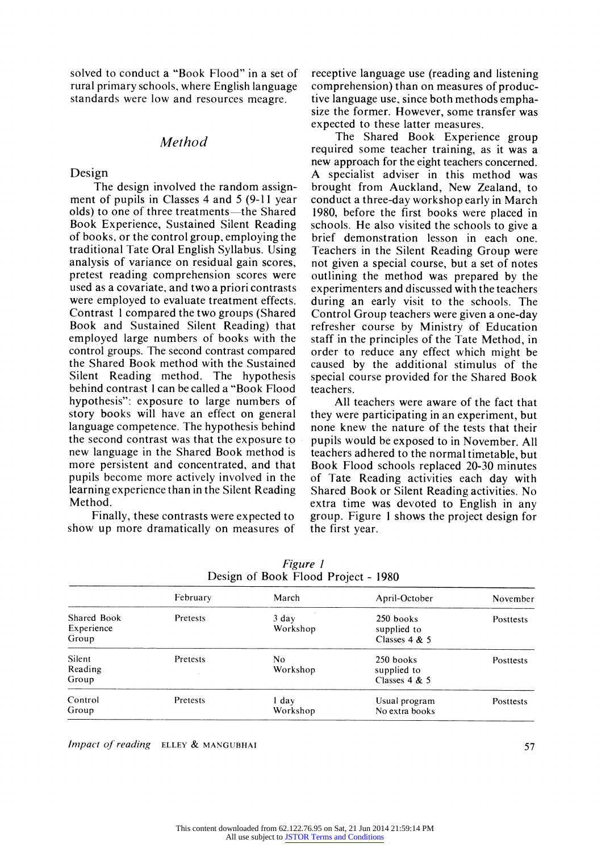**solved to conduct a "Book Flood" in a set of rural primary schools, where English language standards were low and resources meagre.** 

### **Method**

**Design** 

**The design involved the random assignment of pupils in Classes 4 and 5 (9-11 year**  olds) to one of three treatments-the Shared **Book Experience, Sustained Silent Reading of books, or the control group, employing the traditional Tate Oral English Syllabus. Using analysis of variance on residual gain scores, pretest reading comprehension scores were used as a covariate, and two a priori contrasts were employed to evaluate treatment effects. Contrast 1 compared the two groups (Shared Book and Sustained Silent Reading) that employed large numbers of books with the control groups. The second contrast compared the Shared Book method with the Sustained Silent Reading method. The hypothesis behind contrast I can be called a "Book Flood hypothesis": exposure to large numbers of story books will have an effect on general language competence. The hypothesis behind the second contrast was that the exposure to new language in the Shared Book method is more persistent and concentrated, and that pupils become more actively involved in the learning experience than in the Silent Reading Method.** 

**Finally, these contrasts were expected to show up more dramatically on measures of**  **receptive language use (reading and listening comprehension) than on measures of productive language use, since both methods emphasize the former. However, some transfer was expected to these latter measures.** 

**The Shared Book Experience group required some teacher training, as it was a new approach for the eight teachers concerned. A specialist adviser in this method was brought from Auckland, New Zealand, to conduct a three-day workshop early in March 1980, before the first books were placed in schools. He also visited the schools to give a brief demonstration lesson in each one. Teachers in the Silent Reading Group were not given a special course, but a set of notes outlining the method was prepared by the experimenters and discussed with the teachers during an early visit to the schools. The Control Group teachers were given a one-day refresher course by Ministry of Education staff in the principles of the Tate Method, in order to reduce any effect which might be caused by the additional stimulus of the special course provided for the Shared Book teachers.** 

**All teachers were aware of the fact that they were participating in an experiment, but none knew the nature of the tests that their pupils would be exposed to in November. All teachers adhered to the normal timetable, but Book Flood schools replaced 20-30 minutes of Tate Reading activities each day with Shared Book or Silent Reading activities. No extra time was devoted to English in any group. Figure I shows the project design for the first year.** 

|                                    |                 | Design of Book Flood Project - 1980 |                                             |           |
|------------------------------------|-----------------|-------------------------------------|---------------------------------------------|-----------|
|                                    | February        | March                               | April-October                               | November  |
| Shared Book<br>Experience<br>Group | <b>Pretests</b> | $3 \text{ day}$<br>Workshop         | 250 books<br>supplied to<br>Classes $4 & 5$ | Posttests |
| Silent<br>Reading<br>Group         | Pretests        | No<br>Workshop                      | 250 books<br>supplied to<br>Classes $4 & 5$ | Posttests |
| Control<br>Group                   | Pretests        | l dav<br>Workshop                   | Usual program<br>No extra books             | Posttests |

**Figure 1**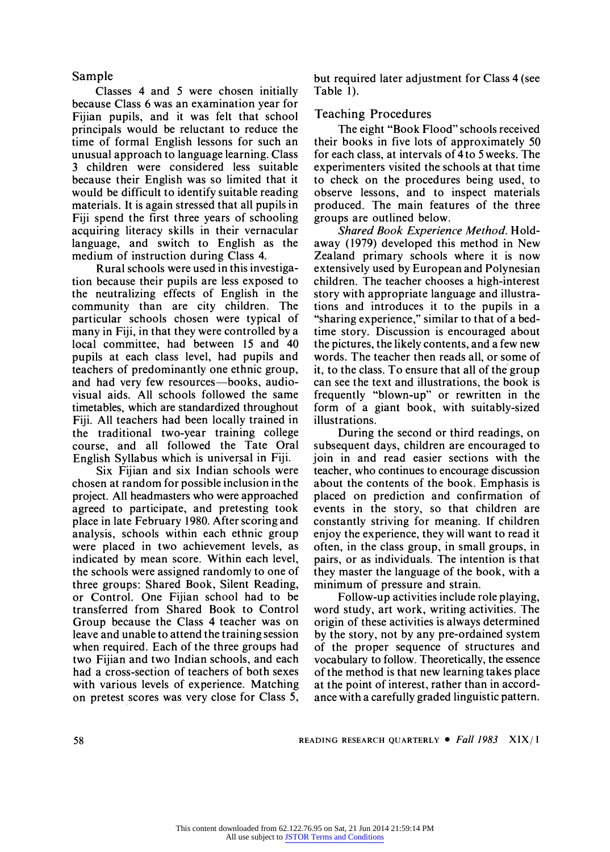### **Sample**

**Classes 4 and 5 were chosen initially because Class 6 was an examination year for Fijian pupils, and it was felt that school principals would be reluctant to reduce the time of formal English lessons for such an unusual approach to language learning. Class 3 children were considered less suitable because their English was so limited that it would be difficult to identify suitable reading materials. It is again stressed that all pupils in Fiji spend the first three years of schooling acquiring literacy skills in their vernacular language, and switch to English as the medium of instruction during Class 4.** 

**Rural schools were used in this investigation because their pupils are less exposed to the neutralizing effects of English in the community than are city children. The particular schools chosen were typical of many in Fiji, in that they were controlled by a local committee, had between 15 and 40 pupils at each class level, had pupils and teachers of predominantly one ethnic group,**  and had very few resources-books, audio**visual aids. All schools followed the same timetables, which are standardized throughout Fiji. All teachers had been locally trained in the traditional two-year training college course, and all followed the Tate Oral English Syllabus which is universal in Fiji.** 

**Six Fijian and six Indian schools were chosen at random for possible inclusion in the project. All headmasters who were approached agreed to participate, and pretesting took place in late February 1980. After scoring and analysis, schools within each ethnic group were placed in two achievement levels, as indicated by mean score. Within each level, the schools were assigned randomly to one of three groups: Shared Book, Silent Reading, or Control. One Fijian school had to be transferred from Shared Book to Control Group because the Class 4 teacher was on leave and unable to attend the training session when required. Each of the three groups had two Fijian and two Indian schools, and each had a cross-section of teachers of both sexes with various levels of experience. Matching on pretest scores was very close for Class 5,** 

**but required later adjustment for Class 4 (see Table 1).** 

### **Teaching Procedures**

**The eight "Book Flood" schools received their books in five lots of approximately 50 for each class, at intervals of 4 to 5 weeks. The experimenters visited the schools at that time to check on the procedures being used, to observe lessons, and to inspect materials produced. The main features of the three groups are outlined below.** 

**Shared Book Experience Method. Holdaway (1979) developed this method in New Zealand primary schools where it is now extensively used by European and Polynesian children. The teacher chooses a high-interest story with appropriate language and illustrations and introduces it to the pupils in a "sharing experience," similar to that of a bedtime story. Discussion is encouraged about the pictures, the likely contents, and a few new words. The teacher then reads all, or some of it, to the class. To ensure that all of the group can see the text and illustrations, the book is frequently "blown-up" or rewritten in the form of a giant book, with suitably-sized illustrations.** 

**During the second or third readings, on subsequent days, children are encouraged to join in and read easier sections with the teacher, who continues to encourage discussion about the contents of the book. Emphasis is placed on prediction and confirmation of events in the story, so that children are constantly striving for meaning. If children enjoy the experience, they will want to read it often, in the class group, in small groups, in pairs, or as individuals. The intention is that they master the language of the book, with a minimum of pressure and strain.** 

**Follow-up activities include role playing, word study, art work, writing activities. The origin of these activities is always determined by the story, not by any pre-ordained system of the proper sequence of structures and vocabulary to follow. Theoretically, the essence of the method is that new learning takes place at the point of interest, rather than in accordance with a carefully graded linguistic pattern.** 

**<sup>58</sup>READING RESEARCH QUARTERLY o Fall 1983 XIX/I**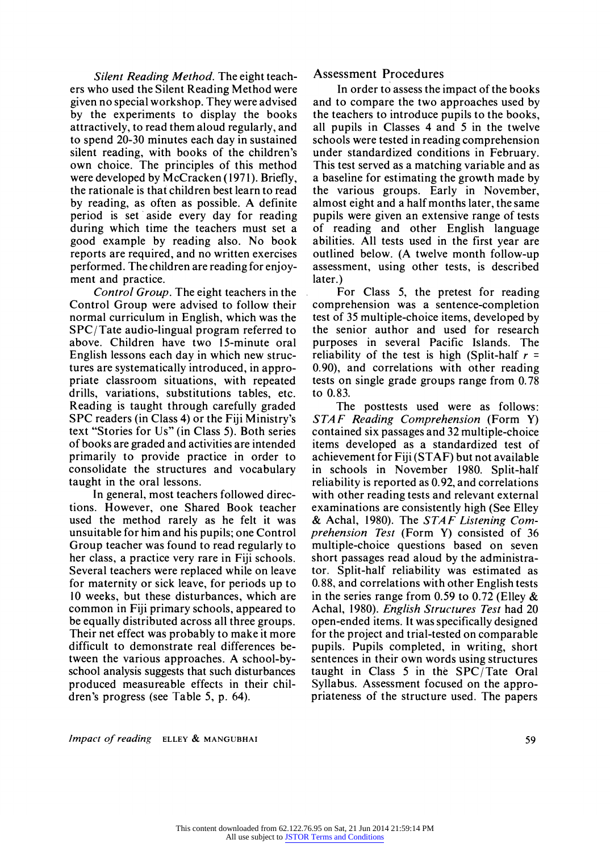**Silent Reading Method. The eight teachers who used the Silent Reading Method were given no special workshop. They were advised by the experiments to display the books attractively, to read them aloud regularly, and to spend 20-30 minutes each day in sustained silent reading, with books of the children's own choice. The principles of this method were developed by McCracken (1971). Briefly, the rationale is that children best learn to read by reading, as often as possible. A definite period is set aside every day for reading during which time the teachers must set a good example by reading also. No book reports are required, and no written exercises performed. The children are reading for enjoyment and practice.** 

**Control Group. The eight teachers in the Control Group were advised to follow their normal curriculum in English, which was the SPC/Tate audio-lingual program referred to above. Children have two 15-minute oral English lessons each day in which new structures are systematically introduced, in appropriate classroom situations, with repeated drills, variations, substitutions tables, etc. Reading is taught through carefully graded SPC readers (in Class 4) or the Fiji Ministry's text "Stories for Us" (in Class 5). Both series of books are graded and activities are intended primarily to provide practice in order to consolidate the structures and vocabulary taught in the oral lessons.** 

**In general, most teachers followed directions. However, one Shared Book teacher used the method rarely as he felt it was unsuitable for him and his pupils; one Control Group teacher was found to read regularly to her class, a practice very rare in Fiji schools. Several teachers were replaced while on leave for maternity or sick leave, for periods up to 10 weeks, but these disturbances, which are common in Fiji primary schools, appeared to be equally distributed across all three groups. Their net effect was probably to make it more difficult to demonstrate real differences between the various approaches. A school-byschool analysis suggests that such disturbances produced measureable effects in their children's progress (see Table 5, p. 64).** 

## **Assessment Procedures**

**In order to assess the impact of the books and to compare the two approaches used by the teachers to introduce pupils to the books, all pupils in Classes 4 and 5 in the twelve schools were tested in reading comprehension under standardized conditions in February. This test served as a matching variable and as a baseline for estimating the growth made by the various groups. Early in November, almost eight and a half months later, the same pupils were given an extensive range of tests of reading and other English language abilities. All tests used in the first year are outlined below. (A twelve month follow-up assessment, using other tests, is described later.)** 

**For Class 5, the pretest for reading comprehension was a sentence-completion test of 35 multiple-choice items, developed by the senior author and used for research purposes in several Pacific Islands. The**  reliability of the test is high (Split-half  $r =$ **0.90), and correlations with other reading tests on single grade groups range from 0.78 to 0.83.** 

**The posttests used were as follows: STA F Reading Comprehension (Form Y) contained six passages and 32 multiple-choice items developed as a standardized test of achievement for Fiji (STAF) but not available in schools in November 1980. Split-half reliability is reported as 0.92, and correlations with other reading tests and relevant external examinations are consistently high (See Elley & Achal, 1980). The STAF Listening Comprehension Test (Form Y) consisted of 36 multiple-choice questions based on seven short passages read aloud by the administrator. Split-half reliability was estimated as 0.88, and correlations with other English tests in the series range from 0.59 to 0.72 (Elley & Achal, 1980). English Structures Test had 20 open-ended items. It was specifically designed for the project and trial-tested on comparable pupils. Pupils completed, in writing, short sentences in their own words using structures taught in Class 5 in the SPC/Tate Oral Syllabus. Assessment focused on the appropriateness of the structure used. The papers**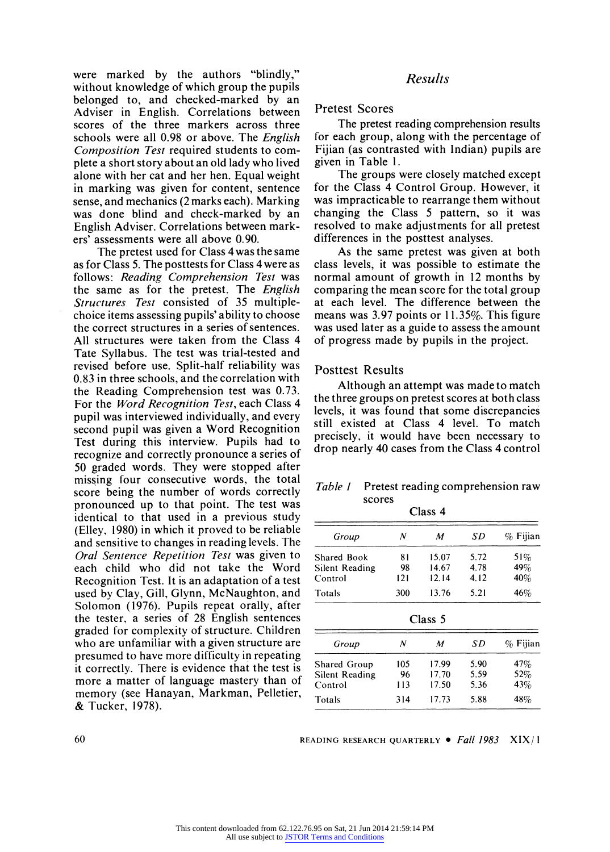**were marked by the authors "blindly," without knowledge of which group the pupils belonged to, and checked-marked by an Adviser in English. Correlations between scores of the three markers across three schools were all 0.98 or above. The English Composition Test required students to complete a short story about an old lady who lived alone with her cat and her hen. Equal weight in marking was given for content, sentence sense, and mechanics (2 marks each). Marking was done blind and check-marked by an English Adviser. Correlations between markers' assessments were all above 0.90.** 

**The pretest used for Class 4 was the same as for Class 5. The posttests for Class 4 were as follows: Reading Comprehension Test was the same as for the pretest. The English Structures Test consisted of 35 multiplechoice items assessing pupils' ability to choose the correct structures in a series of sentences. All structures were taken from the Class 4 Tate Syllabus. The test was trial-tested and revised before use. Split-half reliability was 0.83 in three schools, and the correlation with the Reading Comprehension test was 0.73. For the Word Recognition Test, each Class 4 pupil was interviewed individually, and every second pupil was given a Word Recognition Test during this interview. Pupils had to recognize and correctly pronounce a series of 50 graded words. They were stopped after missing four consecutive words, the total score being the number of words correctly pronounced up to that point. The test was identical to that used in a previous study (Elley, 1980) in which it proved to be reliable and sensitive to changes in reading levels. The Oral Sentence Repetition Test was given to each child who did not take the Word Recognition Test. It is an adaptation of a test used by Clay, Gill, Glynn, McNaughton, and Solomon (1976). Pupils repeat orally, after the tester, a series of 28 English sentences graded for complexity of structure. Children who are unfamiliar with a given structure are presumed to have more difficulty in repeating it correctly. There is evidence that the test is more a matter of language mastery than of memory (see Hanayan, Markman, Pelletier, & Tucker, 1978).** 

## **Results**

### **Pretest Scores**

**The pretest reading comprehension results for each group, along with the percentage of Fijian (as contrasted with Indian) pupils are given in Table 1.** 

**The groups were closely matched except for the Class 4 Control Group. However, it was impracticable to rearrange them without changing the Class 5 pattern, so it was resolved to make adjustments for all pretest differences in the posttest analyses.** 

**As the same pretest was given at both class levels, it was possible to estimate the normal amount of growth in 12 months by comparing the mean score for the total group at each level. The difference between the means was 3.97 points or 11.35%. This figure was used later as a guide to assess the amount of progress made by pupils in the project.** 

### **Posttest Results**

**Although an attempt was made to match the three groups on pretest scores at both class levels, it was found that some discrepancies still existed at Class 4 level. To match precisely, it would have been necessary to drop nearly 40 cases from the Class 4 control** 

**Table I Pretest reading comprehension raw scores Class 4** 

| ີ້  |       |         |            |  |  |  |  |  |  |
|-----|-------|---------|------------|--|--|--|--|--|--|
| Ν   | M     | SD      | $%$ Fijian |  |  |  |  |  |  |
| 81  | 15.07 | 5.72    | 51%        |  |  |  |  |  |  |
| 98  | 14.67 | 4.78    | 49%        |  |  |  |  |  |  |
| 121 | 12.14 | 4.12    | 40%        |  |  |  |  |  |  |
| 300 | 13.76 | 5.21    | 46%        |  |  |  |  |  |  |
|     |       |         |            |  |  |  |  |  |  |
| Ν   | М     | SD      | $%$ Fijian |  |  |  |  |  |  |
| 105 | 17.99 | 5.90    | 47%        |  |  |  |  |  |  |
| 96  | 17.70 | 5.59    | 52%        |  |  |  |  |  |  |
| 113 | 17.50 | 5.36    | 43%        |  |  |  |  |  |  |
| 314 | 17.73 | 5.88    | 48%        |  |  |  |  |  |  |
|     |       | Class 5 |            |  |  |  |  |  |  |

**60 READING RESEARCH QUARTERLY \* Fall 1983 XIX/I**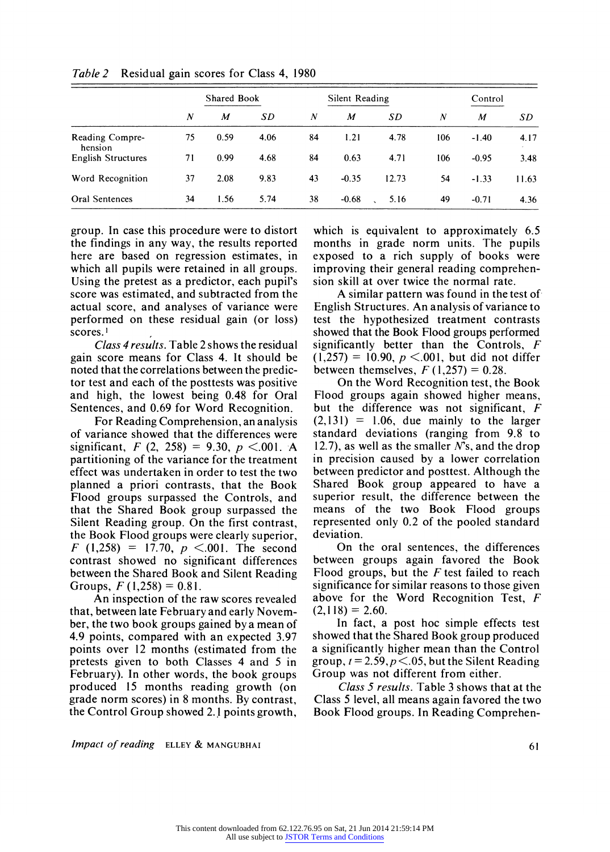|                            |    | Shared Book |      |    | Silent Reading |       |     | Control |           |
|----------------------------|----|-------------|------|----|----------------|-------|-----|---------|-----------|
|                            | N  | M           | SD   | N  | M              | SD    | Ν   | M       | <i>SD</i> |
| Reading Compre-<br>hension | 75 | 0.59        | 4.06 | 84 | 1.21           | 4.78  | 106 | $-1.40$ | 4.17      |
| <b>English Structures</b>  | 71 | 0.99        | 4.68 | 84 | 0.63           | 4.71  | 106 | $-0.95$ | 3.48      |
| Word Recognition           | 37 | 2.08        | 9.83 | 43 | $-0.35$        | 12.73 | 54  | $-1.33$ | 11.63     |
| Oral Sentences             | 34 | 1.56        | 5.74 | 38 | $-0.68$        | 5.16  | 49  | $-0.71$ | 4.36      |

**Table 2 Residual gain scores for Class 4, 1980** 

**group. In case this procedure were to distort the findings in any way, the results reported here are based on regression estimates, in which all pupils were retained in all groups. Using the pretest as a predictor, each pupil's score was estimated, and subtracted from the actual score, and analyses of variance were performed on these residual gain (or loss) scores.'** 

**Class 4 results. Table 2 shows the residual gain score means for Class 4. It should be noted that the correlations between the predictor test and each of the posttests was positive and high, the lowest being 0.48 for Oral Sentences, and 0.69 for Word Recognition.** 

**For Reading Comprehension, an analysis of variance showed that the differences were**  significant,  $F(2, 258) = 9.30, p < 0.001$ . A **partitioning of the variance for the treatment effect was undertaken in order to test the two planned a priori contrasts, that the Book Flood groups surpassed the Controls, and that the Shared Book group surpassed the Silent Reading group. On the first contrast, the Book Flood groups were clearly superior,**   $F(1,258) = 17.70, p \le 0.001$ . The second **contrast showed no significant differences between the Shared Book and Silent Reading**  Groups,  $F(1,258) = 0.81$ .

**An inspection of the raw scores revealed that, between late February and early November, the two book groups gained by a mean of 4.9 points, compared with an expected 3.97 points over 12 months (estimated from the pretests given to both Classes 4 and 5 in February). In other words, the book groups produced 15 months reading growth (on grade norm scores) in 8 months. By contrast, the Control Group showed 2.1 points growth,**  **which is equivalent to approximately 6.5 months in grade norm units. The pupils exposed to a rich supply of books were improving their general reading comprehension skill at over twice the normal rate.** 

**A similar pattern was found in the test of English Structures. An analysis of variance to test the hypothesized treatment contrasts showed that the Book Flood groups performed significantly better than the Controls, F (1,257) = 10.90, p <.001, but did not differ between themselves,**  $F(1,257) = 0.28$ .

**On the Word Recognition test, the Book Flood groups again showed higher means, but the difference was not significant, F**   $(2,131) = 1.06$ , due mainly to the larger **standard deviations (ranging from 9.8 to 12.7), as well as the smaller N's, and the drop in precision caused by a lower correlation between predictor and posttest. Although the Shared Book group appeared to have a superior result, the difference between the means of the two Book Flood groups represented only 0.2 of the pooled standard deviation.** 

**On the oral sentences, the differences between groups again favored the Book Flood groups, but the F test failed to reach significance for similar reasons to those given above for the Word Recognition Test, F (2,118) = 2.60.** 

**In fact, a post hoc simple effects test showed that the Shared Book group produced a significantly higher mean than the Control**  group,  $t = 2.59, p < 0.05$ , but the Silent Reading **Group was not different from either.** 

**Class 5 results. Table 3 shows that at the Class 5 level, all means again favored the two Book Flood groups. In Reading Comprehen-**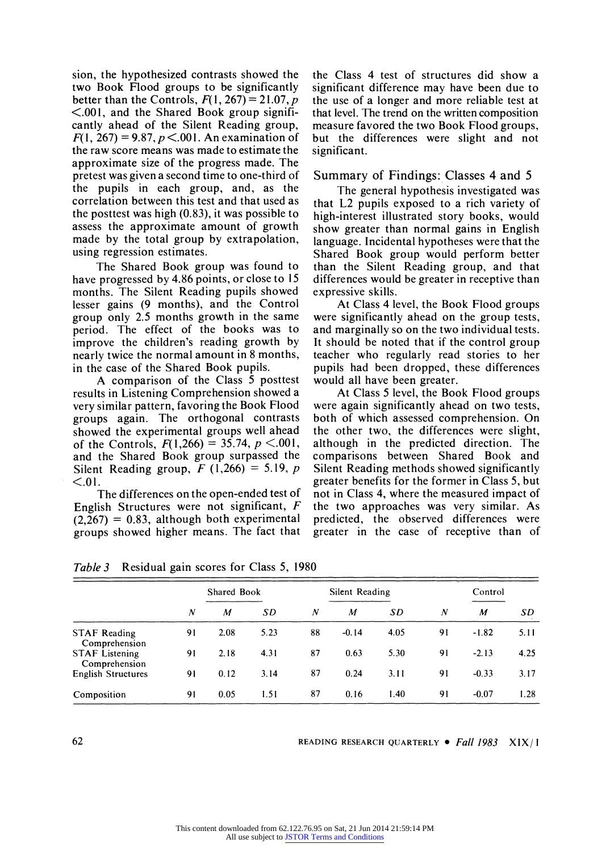**sion, the hypothesized contrasts showed the two Book Flood groups to be significantly**  better than the Controls,  $F(1, 267) = 21.07$ , p **<.001, and the Shared Book group significantly ahead of the Silent Reading group,**   $F(1, 267) = 9.87, p < .001$ . An examination of **the raw score means was made to estimate the approximate size of the progress made. The pretest was given a second time to one-third of the pupils in each group, and, as the correlation between this test and that used as the posttest was high (0.83), it was possible to assess the approximate amount of growth made by the total group by extrapolation, using regression estimates.** 

**The Shared Book group was found to have progressed by 4.86 points, or close to 15 months. The Silent Reading pupils showed lesser gains (9 months), and the Control group only 2.5 months growth in the same period. The effect of the books was to improve the children's reading growth by nearly twice the normal amount in 8 months, in the case of the Shared Book pupils.** 

**A comparison of the Class 5 posttest results in Listening Comprehension showed a very similar pattern, favoring the Book Flood groups again. The orthogonal contrasts showed the experimental groups well ahead**  of the Controls,  $F(1,266) = 35.74$ ,  $p < .001$ , **and the Shared Book group surpassed the Silent Reading group,**  $F(1,266) = 5.19$ **, p <.01.** 

**The differences on the open-ended test of English Structures were not significant, F (2,267) = 0.83, although both experimental groups showed higher means. The fact that** 

**the Class 4 test of structures did show a significant difference may have been due to the use of a longer and more reliable test at that level. The trend on the written composition measure favored the two Book Flood groups, but the differences were slight and not significant.** 

### **Summary of Findings: Classes 4 and 5**

**The general hypothesis investigated was that L2 pupils exposed to a rich variety of high-interest illustrated story books, would show greater than normal gains in English language. Incidental hypotheses were that the Shared Book group would perform better than the Silent Reading group, and that differences would be greater in receptive than expressive skills.** 

**At Class 4 level, the Book Flood groups were significantly ahead on the group tests, and marginally so on the two individual tests. It should be noted that if the control group teacher who regularly read stories to her pupils had been dropped, these differences would all have been greater.** 

**At Class 5 level, the Book Flood groups were again significantly ahead on two tests, both of which assessed comprehension. On the other two, the differences were slight, although in the predicted direction. The comparisons between Shared Book and Silent Reading methods showed significantly greater benefits for the former in Class 5, but not in Class 4, where the measured impact of the two approaches was very similar. As predicted, the observed differences were greater in the case of receptive than of** 

|                                        |    | Shared Book |      |    | Silent Reading |      |    | Control |      |
|----------------------------------------|----|-------------|------|----|----------------|------|----|---------|------|
|                                        | N  | M           | SD   | N  | M              | SD   | N  | M       | SD   |
| <b>STAF Reading</b><br>Comprehension   | 91 | 2.08        | 5.23 | 88 | $-0.14$        | 4.05 | 91 | $-1.82$ | 5.11 |
| <b>STAF</b> Listening<br>Comprehension | 91 | 2.18        | 4.31 | 87 | 0.63           | 5.30 | 91 | $-2.13$ | 4.25 |
| <b>English Structures</b>              | 91 | 0.12        | 3.14 | 87 | 0.24           | 3.11 | 91 | $-0.33$ | 3.17 |
| Composition                            | 91 | 0.05        | 1.51 | 87 | 0.16           | 1.40 | 91 | $-0.07$ | 1.28 |

**Table 3 Residual gain scores for Class 5, 1980** 

**62 READING RESEARCH QUARTERLY \* Fall 1983 XIX/I**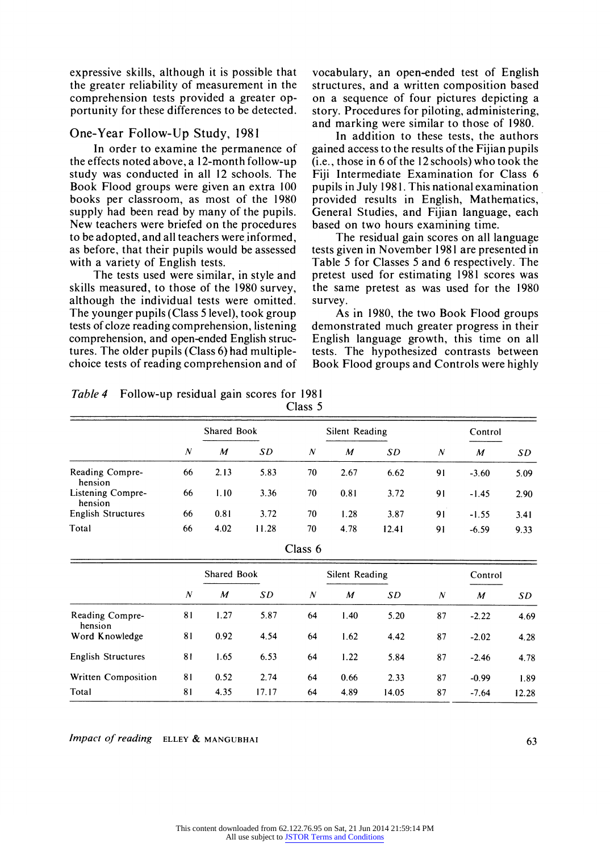**expressive skills, although it is possible that the greater reliability of measurement in the comprehension tests provided a greater opportunity for these differences to be detected.** 

#### **One-Year Follow-Up Study, 1981**

**In order to examine the permanence of the effects noted above, a 12-month follow-up study was conducted in all 12 schools. The Book Flood groups were given an extra 100 books per classroom, as most of the 1980 supply had been read by many of the pupils. New teachers were briefed on the procedures to be adopted, and all teachers were informed, as before, that their pupils would be assessed with a variety of English tests.** 

**The tests used were similar, in style and skills measured, to those of the 1980 survey, although the individual tests were omitted. The younger pupils (Class 5 level), took group tests of cloze reading comprehension, listening comprehension, and open-ended English structures. The older pupils (Class 6) had multiplechoice tests of reading comprehension and of**  **vocabulary, an open-ended test of English structures, and a written composition based on a sequence of four pictures depicting a story. Procedures for piloting, administering, and marking were similar to those of 1980.** 

**In addition to these tests, the authors gained access to the results of the Fijian pupils (i.e., those in 6 of the 12 schools) who took the Fiji Intermediate Examination for Class 6 pupils in July 1981. This national examination provided results in English, Mathematics, General Studies, and Fijian language, each based on two hours examining time.** 

**The residual gain scores on all language tests given in November 1981 are presented in Table 5 for Classes 5 and 6 respectively. The pretest used for estimating 1981 scores was the same pretest as was used for the 1980 survey.** 

**As in 1980, the two Book Flood groups demonstrated much greater progress in their English language growth, this time on all tests. The hypothesized contrasts between Book Flood groups and Controls were highly** 

| Table 4 Follow-up residual gain scores for 1981 |  |  |         |
|-------------------------------------------------|--|--|---------|
|                                                 |  |  | Class 5 |

|                              |    | Shared Book |       |    | Silent Reading |       |    | Control |      |
|------------------------------|----|-------------|-------|----|----------------|-------|----|---------|------|
|                              | N  | M           | SD    | N  | M              | SD    | N  | М       | SD   |
| Reading Compre-<br>hension   | 66 | 2.13        | 5.83  | 70 | 2.67           | 6.62  | 91 | $-3.60$ | 5.09 |
| Listening Compre-<br>hension | 66 | 1.10        | 3.36  | 70 | 0.81           | 3.72  | 91 | $-1.45$ | 2.90 |
| <b>English Structures</b>    | 66 | 0.81        | 3.72  | 70 | 1.28           | 3.87  | 91 | $-1.55$ | 3.41 |
| Total                        | 66 | 4.02        | 11.28 | 70 | 4.78           | 12.41 | 91 | $-6.59$ | 9.33 |

**Class 6** 

|                            |    | Shared Book |       |    | Silent Reading |           |    | Control |           |
|----------------------------|----|-------------|-------|----|----------------|-----------|----|---------|-----------|
|                            | Ν  | M           | SD    | N  | M              | <b>SD</b> | Ν  | М       | <b>SD</b> |
| Reading Compre-<br>hension | 81 | 1.27        | 5.87  | 64 | 1.40           | 5.20      | 87 | $-2.22$ | 4.69      |
| Word Knowledge             | 81 | 0.92        | 4.54  | 64 | 1.62           | 4.42      | 87 | $-2.02$ | 4.28      |
| <b>English Structures</b>  | 81 | 1.65        | 6.53  | 64 | 1.22           | 5.84      | 87 | $-2.46$ | 4.78      |
| Written Composition        | 81 | 0.52        | 2.74  | 64 | 0.66           | 2.33      | 87 | $-0.99$ | 1.89      |
| Total                      | 81 | 4.35        | 17.17 | 64 | 4.89           | 14.05     | 87 | $-7.64$ | 12.28     |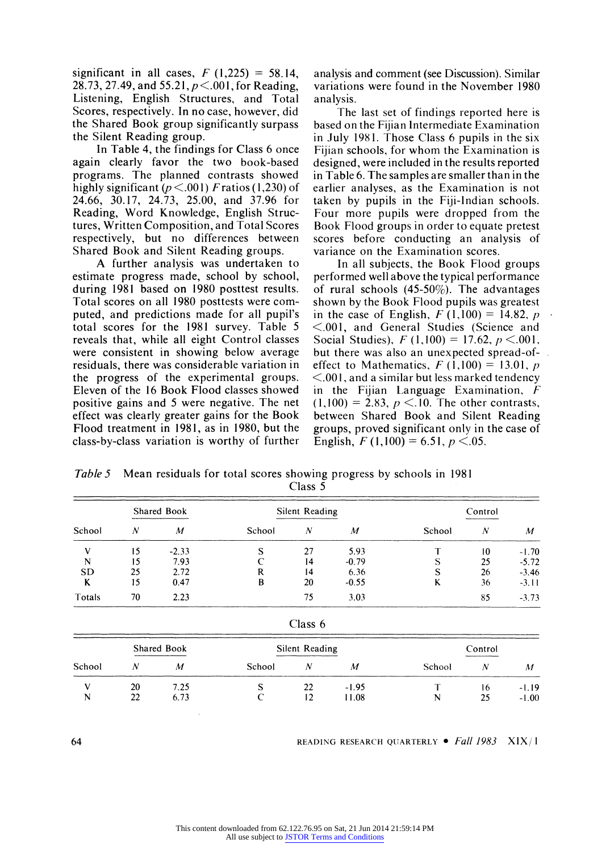significant in all cases,  $F(1,225) = 58.14$ , **28.73, 27.49, and 55.21, p<.001, for Reading, Listening, English Structures, and Total Scores, respectively. In no case, however, did the Shared Book group significantly surpass the Silent Reading group.** 

**In Table 4, the findings for Class 6 once again clearly favor the two book-based programs. The planned contrasts showed**  highly significant ( $p < .001$ ) Fratios (1,230) of **24.66, 30.17, 24.73, 25.00, and 37.96 for Reading, Word Knowledge, English Structures, Written Composition, and Total Scores respectively, but no differences between Shared Book and Silent Reading groups.** 

**A further analysis was undertaken to estimate progress made, school by school, during 1981 based on 1980 posttest results. Total scores on all 1980 posttests were computed, and predictions made for all pupil's total scores for the 1981 survey. Table 5 reveals that, while all eight Control classes were consistent in showing below average residuals, there was considerable variation in the progress of the experimental groups. Eleven of the 16 Book Flood classes showed positive gains and 5 were negative. The net effect was clearly greater gains for the Book Flood treatment in 1981, as in 1980, but the class-by-class variation is worthy of further** 

**analysis and comment (see Discussion). Similar variations were found in the November 1980 analysis.** 

**The last set of findings reported here is based on the Fijian Intermediate Examination in July 1981. Those Class 6 pupils in the six Fijian schools, for whom the Examination is designed, were included in the results reported in Table 6. The samples are smaller than in the earlier analyses, as the Examination is not taken by pupils in the Fiji-Indian schools. Four more pupils were dropped from the Book Flood groups in order to equate pretest scores before conducting an analysis of variance on the Examination scores.** 

**In all subjects, the Book Flood groups performed well above the typical performance of rural schools (45-50%). The advantages shown by the Book Flood pupils was greatest**  in the case of English,  $F(1,100) = 14.82$ ,  $p($ **<.001, and General Studies (Science and**  Social Studies),  $F(1,100) = 17.62$ ,  $p < .001$ , **but there was also an unexpected spread-ofeffect to Mathematics,**  $F(1,100) = 13.01$ **,**  $p($ **<.001, and a similar but less marked tendency in the Fijian Language Examination, F**   $(1,100) = 2.83, p \le 10$ . The other contrasts, **between Shared Book and Silent Reading groups, proved significant only in the case of English,**  $F(1,100) = 6.51$ **,**  $p < 0.05$ **.** 

|           | Shared Book |         |        | Silent Reading |         |        | Control |         |  |
|-----------|-------------|---------|--------|----------------|---------|--------|---------|---------|--|
| School    | Ν           | M       | School | Ν              | M       | School | Ν       | М       |  |
| ν         | 15          | $-2.33$ | S      | 27             | 5.93    |        | 10      | $-1.70$ |  |
| N         | 15          | 7.93    |        | 14             | $-0.79$ | S      | 25      | $-5.72$ |  |
| <b>SD</b> | 25          | 2.72    | R      | 14             | 6.36    | S      | 26      | $-3.46$ |  |
| K         | 15          | 0.47    | в      | 20             | $-0.55$ | K      | 36      | $-3.11$ |  |
| Totals    | 70          | 2.23    |        | 75             | 3.03    |        | 85      | $-3.73$ |  |

**Table 5 Mean residuals for total scores showing progress by schools in 1981 Class 5** 

| ı<br>12 S S |  |
|-------------|--|
|-------------|--|

| Shared Book |    |      | Silent Reading |    | Control |        |    |         |
|-------------|----|------|----------------|----|---------|--------|----|---------|
| School      |    | М    | School         | Ν  | М       | School |    | М       |
|             | 20 | 7.25 |                | 22 | $-1.95$ |        | 16 | $-1.19$ |
| N           | 22 | 6.73 |                |    | 1.08    |        | 25 | $-1.00$ |

**64 READING RESEARCH QUARTERLY \* Fall 1983 XIX/ 1**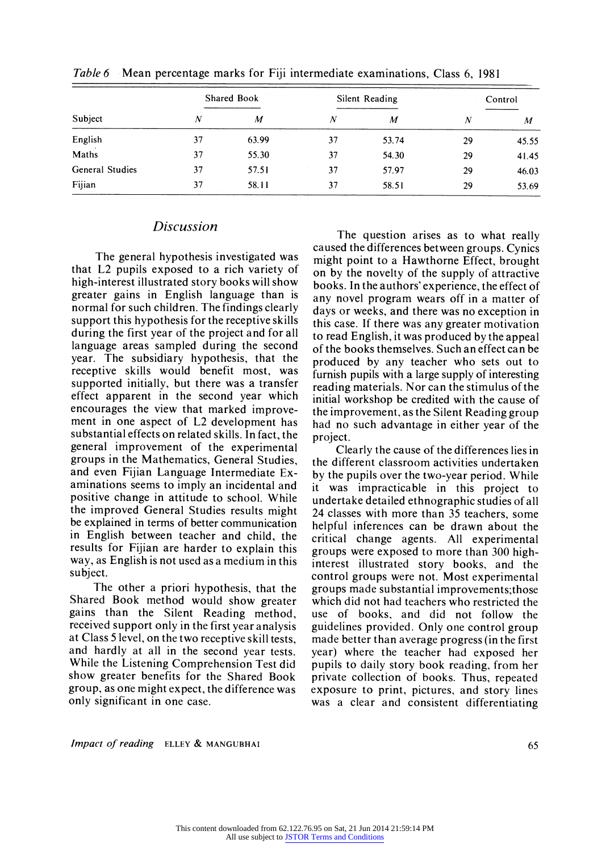|                 | Shared Book |       |    | Silent Reading | Control |       |  |
|-----------------|-------------|-------|----|----------------|---------|-------|--|
| Subject         | Ν           | M     | Ν  | M              | Ν       | M     |  |
| English         | 37          | 63.99 | 37 | 53.74          | 29      | 45.55 |  |
| Maths           | 37          | 55.30 | 37 | 54.30          | 29      | 41.45 |  |
| General Studies | 37          | 57.51 | 37 | 57.97          | 29      | 46.03 |  |
| Fijian          | 37          | 58.11 | 37 | 58.51          | 29      | 53.69 |  |

**Table 6 Mean percentage marks for Fiji intermediate examinations, Class 6, 1981** 

### **Discussion**

**The general hypothesis investigated was that L2 pupils exposed to a rich variety of high-interest illustrated story books will show greater gains in English language than is normal for such children. The findings clearly support this hypothesis for the receptive skills during the first year of the project and for all language areas sampled during the second year. The subsidiary hypothesis, that the receptive skills would benefit most, was supported initially, but there was a transfer effect apparent in the second year which encourages the view that marked improvement in one aspect of L2 development has substantial effects on related skills. In fact, the general improvement of the experimental groups in the Mathematics, General Studies, and even Fijian Language Intermediate Examinations seems to imply an incidental and positive change in attitude to school. While the improved General Studies results might be explained in terms of better communication in English between teacher and child, the results for Fijian are harder to explain this way, as English is not used as a medium in this subject.** 

**The other a priori hypothesis, that the Shared Book method would show greater gains than the Silent Reading method, received support only in the first year analysis at Class 5 level, on the two receptive skill tests, and hardly at all in the second year tests. While the Listening Comprehension Test did show greater benefits for the Shared Book group, as one might expect, the difference was only significant in one case.** 

**The question arises as to what really caused the differences between groups. Cynics might point to a Hawthorne Effect, brought on by the novelty of the supply of attractive books. In the authors' experience, the effect of any novel program wears off in a matter of days or weeks, and there was no exception in this case. If there was any greater motivation to read English, it was produced by the appeal of the books themselves. Such an effect can be produced by any teacher who sets out to furnish pupils with a large supply of interesting reading materials. Nor can the stimulus of the initial workshop be credited with the cause of the improvement, as the Silent Reading group had no such advantage in either year of the project.** 

**Clearly the cause of the differences lies in the different classroom activities undertaken by the pupils over the two-year period. While it was impracticable in this project to undertake detailed ethnographic studies of all 24 classes with more than 35 teachers, some helpful inferences can be drawn about the critical change agents. All experimental groups were exposed to more than 300 highinterest illustrated story books, and the control groups were not. Most experimental groups made substantial improvements;those which did not had teachers who restricted the use of books, and did not follow the guidelines provided. Only one control group made better than average progress (in the first year) where the teacher had exposed her pupils to daily story book reading, from her private collection of books. Thus, repeated exposure to print, pictures, and story lines was a clear and consistent differentiating**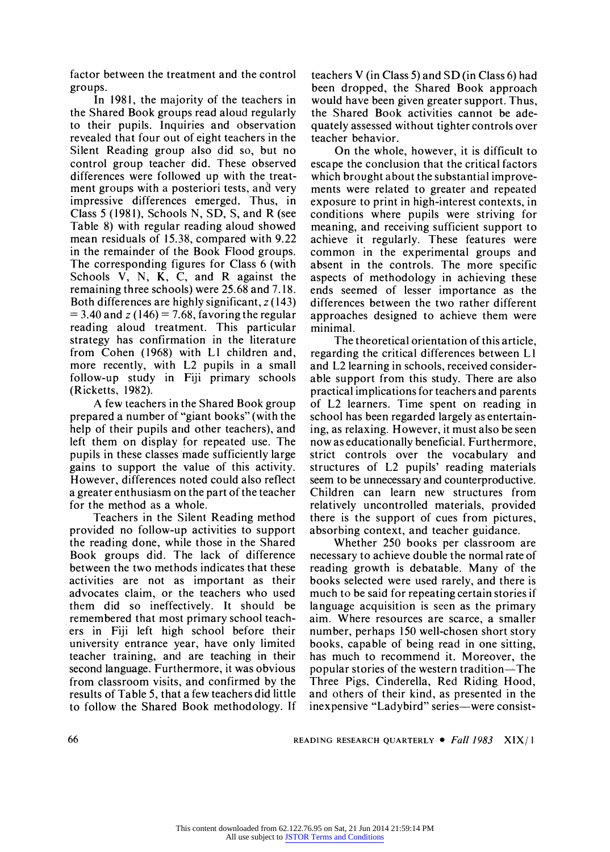**factor between the treatment and the control groups.** 

**In 1981, the majority of the teachers in the Shared Book groups read aloud regularly to their pupils. Inquiries and observation revealed that four out of eight teachers in the Silent Reading group also did so, but no control group teacher did. These observed differences were followed up with the treatment groups with a posteriori tests, and very impressive differences emerged. Thus, in Class 5 (1981), Schools N, SD, S, and R (see Table 8) with regular reading aloud showed mean residuals of 15.38, compared with 9.22 in the remainder of the Book Flood groups. The corresponding figures for Class 6 (with Schools V, N, K, C, and R against the remaining three schools) were 25.68 and 7.18. Both differences are highly significant, z (143) = 3.40 and z (146) = 7.68, favoring the regular reading aloud treatment. This particular strategy has confirmation in the literature from Cohen (1968) with Ll children and, more recently, with L2 pupils in a small follow-up study in Fiji primary schools (Ricketts, 1982).** 

**A few teachers in the Shared Book group prepared a number of "giant books" (with the help of their pupils and other teachers), and left them on display for repeated use. The pupils in these classes made sufficiently large gains to support the value of this activity. However, differences noted could also reflect a greater enthusiasm on the part of the teacher for the method as a whole.** 

**Teachers in the Silent Reading method provided no follow-up activities to support the reading done, while those in the Shared Book groups did. The lack of difference between the two methods indicates that these activities are not as important as their advocates claim, or the teachers who used them did so ineffectively. It should be remembered that most primary school teachers in Fiji left high school before their university entrance year, have only limited teacher training, and are teaching in their second language. Furthermore, it was obvious from classroom visits, and confirmed by the results of Table 5, that a few teachers did little to follow the Shared Book methodology. If**  **teachers V (in Class 5) and SD (in Class 6) had been dropped, the Shared Book approach would have been given greater support. Thus, the Shared Book activities cannot be adequately assessed without tighter controls over teacher behavior.** 

**On the whole, however, it is difficult to escape the conclusion that the critical factors which brought about the substantial improvements were related to greater and repeated exposure to print in high-interest contexts, in conditions where pupils were striving for meaning, and receiving sufficient support to achieve it regularly. These features were common in the experimental groups and absent in the controls. The more specific aspects of methodology in achieving these ends seemed of lesser importance as the differences between the two rather different approaches designed to achieve them were minimal.** 

**The theoretical orientation of this article, regarding the critical differences between L1 and L2 learning in schools, received considerable support from this study. There are also practical implications for teachers and parents of L2 learners. Time spent on reading in school has been regarded largely as entertaining, as relaxing. However, it must also be seen now as educationally beneficial. Furthermore, strict controls over the vocabulary and structures of L2 pupils' reading materials seem to be unnecessary and counterproductive. Children can learn new structures from relatively uncontrolled materials, provided there is the support of cues from pictures, absorbing context, and teacher guidance.** 

**Whether 250 books per classroom are necessary to achieve double the normal rate of reading growth is debatable. Many of the books selected were used rarely, and there is much to be said for repeating certain stories if language acquisition is seen as the primary aim. Where resources are scarce, a smaller number, perhaps 150 well-chosen short story books, capable of being read in one sitting, has much to recommend it. Moreover, the popular stories of the western tradition-The Three Pigs, Cinderella, Red Riding Hood, and others of their kind, as presented in the**  inexpensive "Ladybird" series—were consist